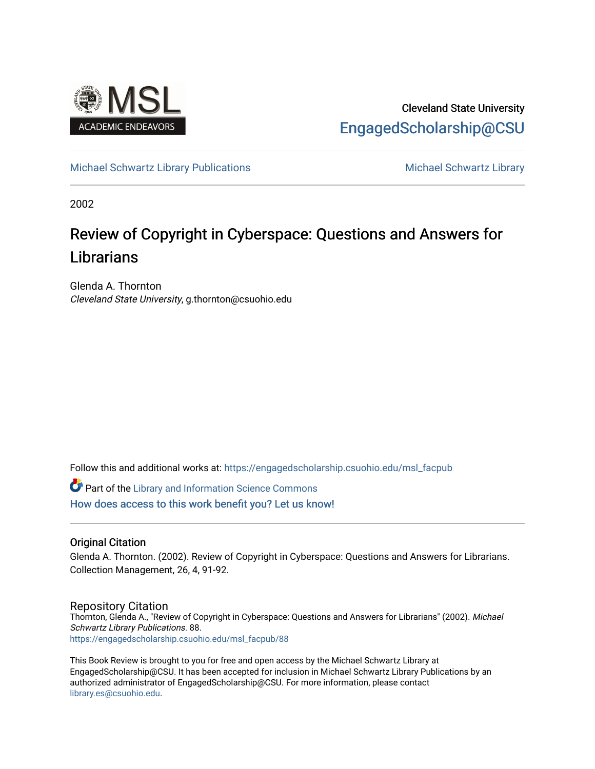

## Cleveland State University [EngagedScholarship@CSU](https://engagedscholarship.csuohio.edu/)

#### [Michael Schwartz Library Publications](https://engagedscholarship.csuohio.edu/msl_facpub) [Michael Schwartz Library](https://engagedscholarship.csuohio.edu/mslibrary) **Michael Schwartz** Library

2002

# Review of Copyright in Cyberspace: Questions and Answers for **Librarians**

Glenda A. Thornton Cleveland State University, g.thornton@csuohio.edu

Follow this and additional works at: [https://engagedscholarship.csuohio.edu/msl\\_facpub](https://engagedscholarship.csuohio.edu/msl_facpub?utm_source=engagedscholarship.csuohio.edu%2Fmsl_facpub%2F88&utm_medium=PDF&utm_campaign=PDFCoverPages) 

**Part of the Library and Information Science Commons** [How does access to this work benefit you? Let us know!](http://library.csuohio.edu/engaged/)

#### Original Citation

Glenda A. Thornton. (2002). Review of Copyright in Cyberspace: Questions and Answers for Librarians. Collection Management, 26, 4, 91-92.

#### Repository Citation

Thornton, Glenda A., "Review of Copyright in Cyberspace: Questions and Answers for Librarians" (2002). Michael Schwartz Library Publications. 88. [https://engagedscholarship.csuohio.edu/msl\\_facpub/88](https://engagedscholarship.csuohio.edu/msl_facpub/88?utm_source=engagedscholarship.csuohio.edu%2Fmsl_facpub%2F88&utm_medium=PDF&utm_campaign=PDFCoverPages)

This Book Review is brought to you for free and open access by the Michael Schwartz Library at EngagedScholarship@CSU. It has been accepted for inclusion in Michael Schwartz Library Publications by an authorized administrator of EngagedScholarship@CSU. For more information, please contact [library.es@csuohio.edu.](mailto:library.es@csuohio.edu)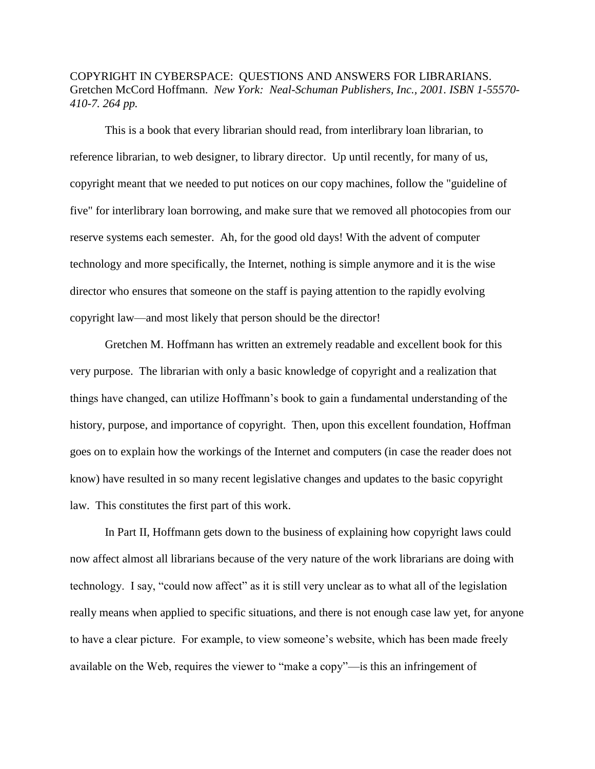### COPYRIGHT IN CYBERSPACE: QUESTIONS AND ANSWERS FOR LIBRARIANS. Gretchen McCord Hoffmann. *New York: Neal-Schuman Publishers, Inc., 2001. ISBN 1-55570- 410-7. 264 pp.*

This is a book that every librarian should read, from interlibrary loan librarian, to reference librarian, to web designer, to library director. Up until recently, for many of us, copyright meant that we needed to put notices on our copy machines, follow the "guideline of five" for interlibrary loan borrowing, and make sure that we removed all photocopies from our reserve systems each semester. Ah, for the good old days! With the advent of computer technology and more specifically, the Internet, nothing is simple anymore and it is the wise director who ensures that someone on the staff is paying attention to the rapidly evolving copyright law—and most likely that person should be the director!

Gretchen M. Hoffmann has written an extremely readable and excellent book for this very purpose. The librarian with only a basic knowledge of copyright and a realization that things have changed, can utilize Hoffmann's book to gain a fundamental understanding of the history, purpose, and importance of copyright. Then, upon this excellent foundation, Hoffman goes on to explain how the workings of the Internet and computers (in case the reader does not know) have resulted in so many recent legislative changes and updates to the basic copyright law. This constitutes the first part of this work.

In Part II, Hoffmann gets down to the business of explaining how copyright laws could now affect almost all librarians because of the very nature of the work librarians are doing with technology. I say, "could now affect" as it is still very unclear as to what all of the legislation really means when applied to specific situations, and there is not enough case law yet, for anyone to have a clear picture. For example, to view someone's website, which has been made freely available on the Web, requires the viewer to "make a copy"—is this an infringement of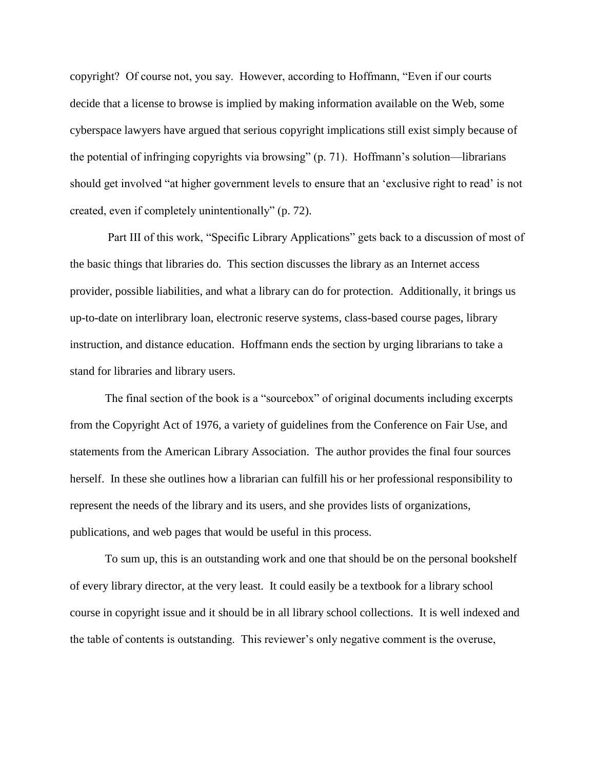copyright? Of course not, you say. However, according to Hoffmann, "Even if our courts decide that a license to browse is implied by making information available on the Web, some cyberspace lawyers have argued that serious copyright implications still exist simply because of the potential of infringing copyrights via browsing" (p. 71). Hoffmann's solution—librarians should get involved "at higher government levels to ensure that an 'exclusive right to read' is not created, even if completely unintentionally" (p. 72).

Part III of this work, "Specific Library Applications" gets back to a discussion of most of the basic things that libraries do. This section discusses the library as an Internet access provider, possible liabilities, and what a library can do for protection. Additionally, it brings us up-to-date on interlibrary loan, electronic reserve systems, class-based course pages, library instruction, and distance education. Hoffmann ends the section by urging librarians to take a stand for libraries and library users.

The final section of the book is a "sourcebox" of original documents including excerpts from the Copyright Act of 1976, a variety of guidelines from the Conference on Fair Use, and statements from the American Library Association. The author provides the final four sources herself. In these she outlines how a librarian can fulfill his or her professional responsibility to represent the needs of the library and its users, and she provides lists of organizations, publications, and web pages that would be useful in this process.

To sum up, this is an outstanding work and one that should be on the personal bookshelf of every library director, at the very least. It could easily be a textbook for a library school course in copyright issue and it should be in all library school collections. It is well indexed and the table of contents is outstanding. This reviewer's only negative comment is the overuse,